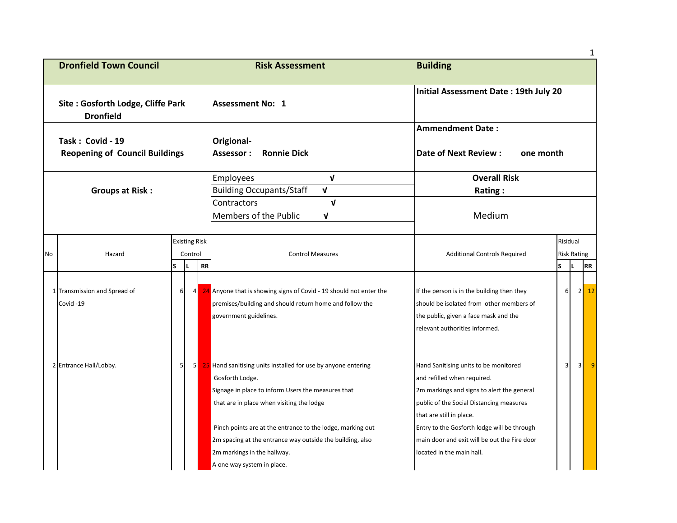|    |                                                           |                 |                                 |    |                                                                                                                                                                                                                                                   |                                                                                                                                                                                                                                           |          |                                | 1                                |
|----|-----------------------------------------------------------|-----------------|---------------------------------|----|---------------------------------------------------------------------------------------------------------------------------------------------------------------------------------------------------------------------------------------------------|-------------------------------------------------------------------------------------------------------------------------------------------------------------------------------------------------------------------------------------------|----------|--------------------------------|----------------------------------|
|    | <b>Dronfield Town Council</b>                             |                 |                                 |    | <b>Risk Assessment</b>                                                                                                                                                                                                                            | <b>Building</b>                                                                                                                                                                                                                           |          |                                |                                  |
|    | Site: Gosforth Lodge, Cliffe Park<br><b>Dronfield</b>     |                 |                                 |    | <b>Assessment No: 1</b>                                                                                                                                                                                                                           | Initial Assessment Date: 19th July 20                                                                                                                                                                                                     |          |                                |                                  |
|    | Task: Covid - 19<br><b>Reopening of Council Buildings</b> |                 |                                 |    | Origional-<br><b>Ronnie Dick</b><br>Assessor :                                                                                                                                                                                                    | <b>Ammendment Date:</b><br><b>Date of Next Review:</b><br>one month                                                                                                                                                                       |          |                                |                                  |
|    |                                                           |                 |                                 |    | $\mathbf{v}$<br><b>Employees</b>                                                                                                                                                                                                                  | <b>Overall Risk</b>                                                                                                                                                                                                                       |          |                                |                                  |
|    | <b>Groups at Risk:</b>                                    |                 |                                 |    | <b>Building Occupants/Staff</b><br>$\mathbf{V}$                                                                                                                                                                                                   | Rating:                                                                                                                                                                                                                                   |          |                                |                                  |
|    |                                                           |                 |                                 |    | $\mathbf v$<br>Contractors                                                                                                                                                                                                                        |                                                                                                                                                                                                                                           |          |                                |                                  |
|    |                                                           |                 |                                 |    | Members of the Public<br>$\mathbf{v}$                                                                                                                                                                                                             | Medium                                                                                                                                                                                                                                    |          |                                |                                  |
| No | Hazard                                                    |                 | <b>Existing Risk</b><br>Control |    | <b>Control Measures</b>                                                                                                                                                                                                                           | <b>Additional Controls Required</b>                                                                                                                                                                                                       |          | Risidual<br><b>Risk Rating</b> |                                  |
|    |                                                           | S               |                                 | RR |                                                                                                                                                                                                                                                   |                                                                                                                                                                                                                                           | <b>S</b> | IL.                            | RR                               |
|    | 1 Transmission and Spread of<br>Covid-19                  | $6 \mid$        | 4                               |    | 24 Anyone that is showing signs of Covid - 19 should not enter the<br>premises/building and should return home and follow the<br>government guidelines.                                                                                           | If the person is in the building then they<br>should be isolated from other members of<br>the public, given a face mask and the<br>relevant authorities informed.                                                                         | $6 \mid$ |                                | 2<br>12                          |
|    | 2 Entrance Hall/Lobby.                                    | $5\overline{)}$ | 5                               |    | 25 Hand sanitising units installed for use by anyone entering<br>Gosforth Lodge.<br>Signage in place to inform Users the measures that<br>that are in place when visiting the lodge<br>Pinch points are at the entrance to the lodge, marking out | Hand Sanitising units to be monitored<br>and refilled when required.<br>2m markings and signs to alert the general<br>public of the Social Distancing measures<br>that are still in place.<br>Entry to the Gosforth lodge will be through | 3        |                                | 3 <sup>l</sup><br>$\overline{9}$ |
|    |                                                           |                 |                                 |    | 2m spacing at the entrance way outside the building, also<br>2m markings in the hallway.<br>A one way system in place.                                                                                                                            | main door and exit will be out the Fire door<br>located in the main hall.                                                                                                                                                                 |          |                                |                                  |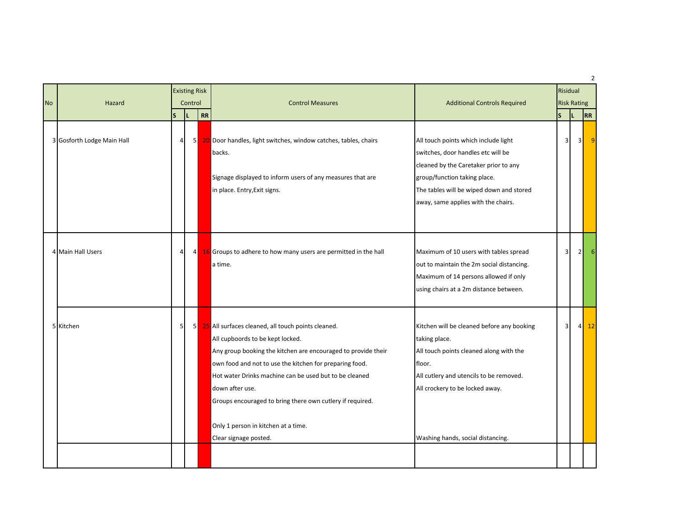| Hazard | S                                               |                                                    | <b>Control Measures</b>                                                                                                                                                                                                                                                                                                                                                | <b>Additional Controls Required</b>                                                                                                                                                                                                    | Risidual<br><sub>S</sub> | IL. |        | RR                                             |
|--------|-------------------------------------------------|----------------------------------------------------|------------------------------------------------------------------------------------------------------------------------------------------------------------------------------------------------------------------------------------------------------------------------------------------------------------------------------------------------------------------------|----------------------------------------------------------------------------------------------------------------------------------------------------------------------------------------------------------------------------------------|--------------------------|-----|--------|------------------------------------------------|
|        |                                                 |                                                    | backs.<br>Signage displayed to inform users of any measures that are<br>in place. Entry, Exit signs.                                                                                                                                                                                                                                                                   | All touch points which include light<br>switches, door handles etc will be<br>cleaned by the Caretaker prior to any<br>group/function taking place.<br>The tables will be wiped down and stored<br>away, same applies with the chairs. |                          |     |        |                                                |
|        |                                                 |                                                    | a time.                                                                                                                                                                                                                                                                                                                                                                | Maximum of 10 users with tables spread<br>out to maintain the 2m social distancing.<br>Maximum of 14 persons allowed if only<br>using chairs at a 2m distance between.                                                                 | 3                        |     |        | -6                                             |
|        |                                                 |                                                    | All cupboords to be kept locked.<br>Any group booking the kitchen are encouraged to provide their<br>own food and not to use the kitchen for preparing food.<br>Hot water Drinks machine can be used but to be cleaned<br>down after use.<br>Groups encouraged to bring there own cutlery if required.<br>Only 1 person in kitchen at a time.<br>Clear signage posted. | Kitchen will be cleaned before any booking<br>taking place.<br>All touch points cleaned along with the<br>floor.<br>All cutlery and utencils to be removed.<br>All crockery to be locked away.<br>Washing hands, social distancing.    |                          |     |        | 12                                             |
|        | 3 Gosforth Lodge Main Hall<br>4 Main Hall Users | $\overline{4}$<br>$\overline{4}$<br>5 <sub>l</sub> | <b>Existing Risk</b><br>Control                                                                                                                                                                                                                                                                                                                                        | RR<br>5 20 Door handles, light switches, window catches, tables, chairs<br>4 16 Groups to adhere to how many users are permitted in the hall<br>5 25 All surfaces cleaned, all touch points cleaned.                                   |                          |     | 3<br>3 | <b>Risk Rating</b><br>3<br>2 <sup>1</sup><br>4 |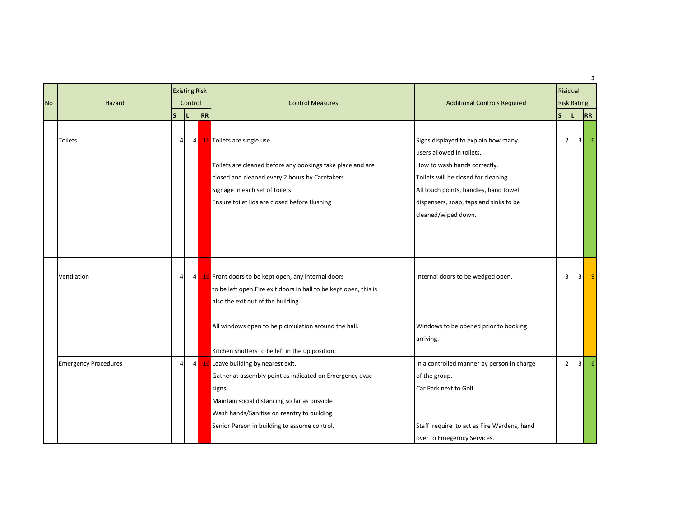|           |                             | <b>Existing Risk</b> |               |           |                                                                                                                                                                                                                                                        |                                                                                                                                                                                                                                                    | Risidual<br><b>Risk Rating</b> |                         |                |                |  |
|-----------|-----------------------------|----------------------|---------------|-----------|--------------------------------------------------------------------------------------------------------------------------------------------------------------------------------------------------------------------------------------------------------|----------------------------------------------------------------------------------------------------------------------------------------------------------------------------------------------------------------------------------------------------|--------------------------------|-------------------------|----------------|----------------|--|
| <b>No</b> | Hazard                      | <sub>S</sub>         | Control<br>IL | <b>RR</b> | <b>Control Measures</b>                                                                                                                                                                                                                                | <b>Additional Controls Required</b>                                                                                                                                                                                                                | S                              | IL.                     |                | 3<br><b>RR</b> |  |
|           | <b>Toilets</b>              | 4                    | 4             |           | 16 Toilets are single use.<br>Toilets are cleaned before any bookings take place and are<br>closed and cleaned every 2 hours by Caretakers.<br>Signage in each set of toilets.<br>Ensure toilet lids are closed before flushing                        | Signs displayed to explain how many<br>users allowed in toilets.<br>How to wash hands correctly.<br>Toilets will be closed for cleaning.<br>All touch points, handles, hand towel<br>dispensers, soap, taps and sinks to be<br>cleaned/wiped down. |                                | $\overline{2}$          | зΙ             |                |  |
|           | Ventilation                 | $\overline{4}$       | 4             |           | 16 Front doors to be kept open, any internal doors<br>to be left open. Fire exit doors in hall to be kept open, this is<br>also the exit out of the building.                                                                                          | Internal doors to be wedged open.                                                                                                                                                                                                                  |                                | $\overline{\mathbf{3}}$ | $\overline{3}$ |                |  |
|           |                             |                      |               |           | All windows open to help circulation around the hall.<br>Kitchen shutters to be left in the up position.                                                                                                                                               | Windows to be opened prior to booking<br>arriving.                                                                                                                                                                                                 |                                |                         |                |                |  |
|           | <b>Emergency Procedures</b> | $\overline{4}$       | 4             |           | 16 Leave building by nearest exit.<br>Gather at assembly point as indicated on Emergency evac<br>signs.<br>Maintain social distancing so far as possible<br>Wash hands/Sanitise on reentry to building<br>Senior Person in building to assume control. | In a controlled manner by person in charge<br>of the group.<br>Car Park next to Golf.<br>Staff require to act as Fire Wardens, hand<br>over to Emegerncy Services.                                                                                 |                                | $\overline{2}$          | зΙ             |                |  |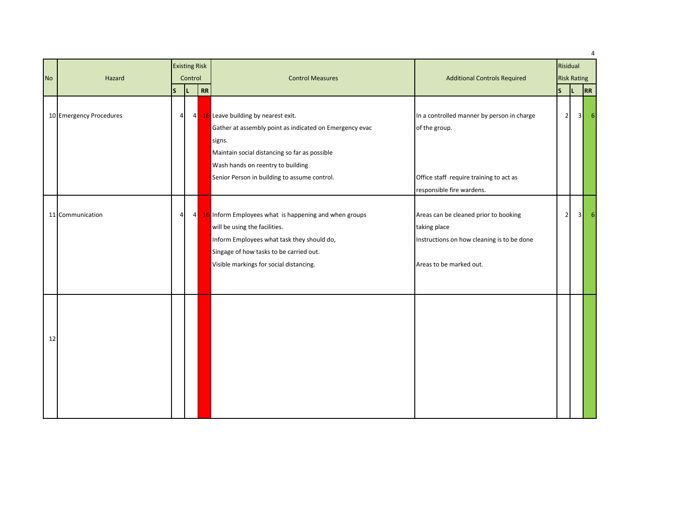|           |                         |                |         |                      |                                                                                                                                                                                                                                               |                                                                                                                                |                    |     |                | $\overline{4}$ |
|-----------|-------------------------|----------------|---------|----------------------|-----------------------------------------------------------------------------------------------------------------------------------------------------------------------------------------------------------------------------------------------|--------------------------------------------------------------------------------------------------------------------------------|--------------------|-----|----------------|----------------|
|           |                         |                |         | <b>Existing Risk</b> |                                                                                                                                                                                                                                               |                                                                                                                                | Risidual           |     |                |                |
| <b>No</b> | Hazard                  |                | Control |                      | <b>Control Measures</b>                                                                                                                                                                                                                       | <b>Additional Controls Required</b>                                                                                            | <b>Risk Rating</b> |     |                |                |
|           |                         | $\mathsf{s}$   |         | RR                   |                                                                                                                                                                                                                                               |                                                                                                                                | ls.                | IL. |                | RR             |
|           | 10 Emergency Procedures | 4 <sup>1</sup> |         | 4                    | 16 Leave building by nearest exit.<br>Gather at assembly point as indicated on Emergency evac<br>signs.<br>Maintain social distancing so far as possible<br>Wash hands on reentry to building<br>Senior Person in building to assume control. | In a controlled manner by person in charge<br>of the group.<br>Office staff require training to act as                         | $\overline{2}$     |     | 3 <sup>1</sup> | 6              |
|           |                         |                |         |                      |                                                                                                                                                                                                                                               | responsible fire wardens.                                                                                                      |                    |     |                |                |
|           | 11 Communication        | $\overline{4}$ |         | 4                    | 16 Inform Employees what is happening and when groups<br>will be using the facilities.<br>Inform Employees what task they should do,<br>Singage of how tasks to be carried out.<br>Visible markings for social distancing.                    | Areas can be cleaned prior to booking<br>taking place<br>Instructions on how cleaning is to be done<br>Areas to be marked out. | $\overline{2}$     |     | 3 <sup>1</sup> | 6              |
| 12        |                         |                |         |                      |                                                                                                                                                                                                                                               |                                                                                                                                |                    |     |                |                |